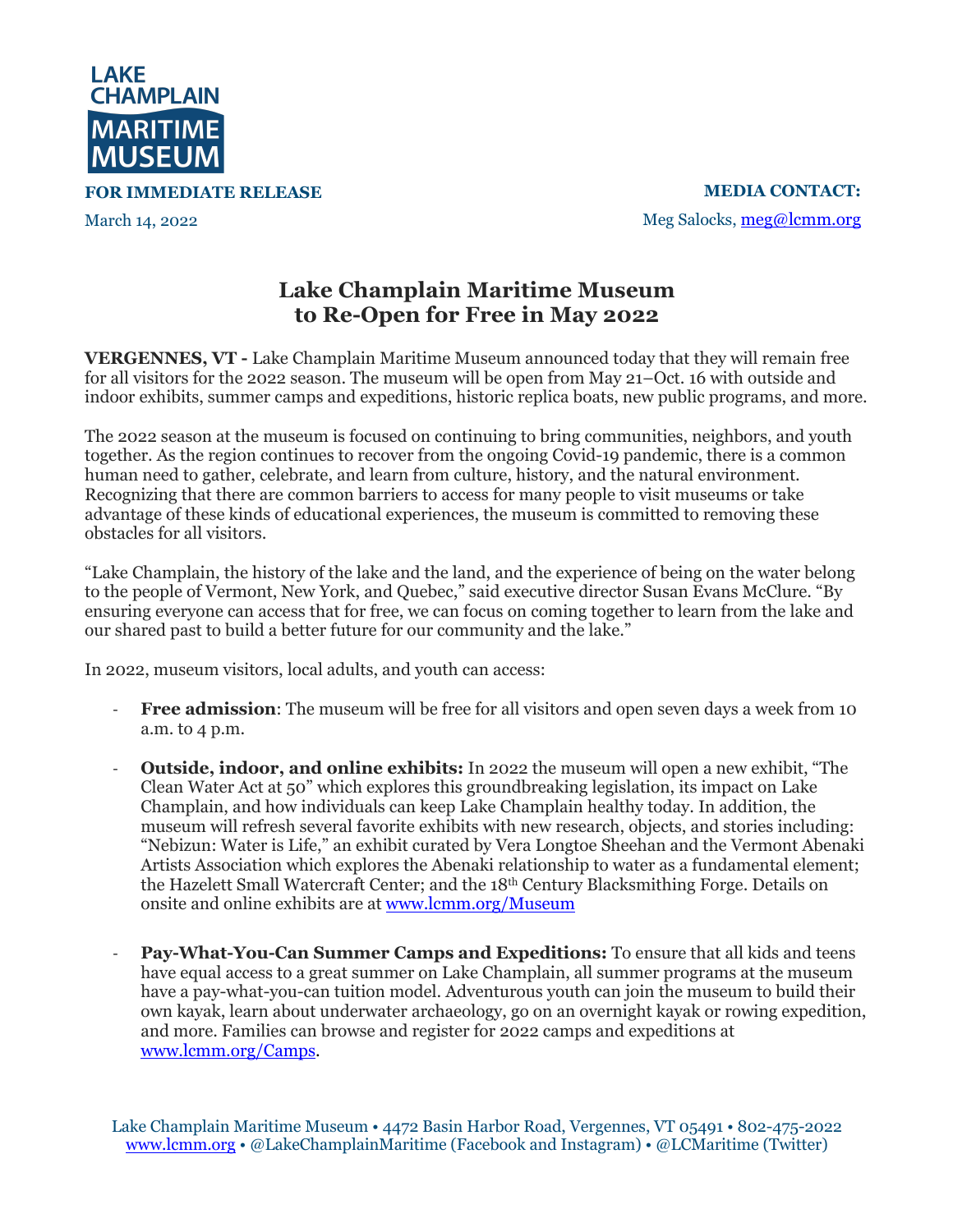

**FOR IMMEDIATE RELEASE**

March 14, 2022

**MEDIA CONTACT:** Meg Salocks, meg@lcmm.org

## **Lake Champlain Maritime Museum to Re-Open for Free in May 2022**

**VERGENNES, VT -** Lake Champlain Maritime Museum announced today that they will remain free for all visitors for the 2022 season. The museum will be open from May 21–Oct. 16 with outside and indoor exhibits, summer camps and expeditions, historic replica boats, new public programs, and more.

The 2022 season at the museum is focused on continuing to bring communities, neighbors, and youth together. As the region continues to recover from the ongoing Covid-19 pandemic, there is a common human need to gather, celebrate, and learn from culture, history, and the natural environment. Recognizing that there are common barriers to access for many people to visit museums or take advantage of these kinds of educational experiences, the museum is committed to removing these obstacles for all visitors.

"Lake Champlain, the history of the lake and the land, and the experience of being on the water belong to the people of Vermont, New York, and Quebec," said executive director Susan Evans McClure. "By ensuring everyone can access that for free, we can focus on coming together to learn from the lake and our shared past to build a better future for our community and the lake."

In 2022, museum visitors, local adults, and youth can access:

- **Free admission**: The museum will be free for all visitors and open seven days a week from 10 a.m. to 4 p.m.
- **Outside, indoor, and online exhibits:** In 2022 the museum will open a new exhibit, "The Clean Water Act at 50" which explores this groundbreaking legislation, its impact on Lake Champlain, and how individuals can keep Lake Champlain healthy today. In addition, the museum will refresh several favorite exhibits with new research, objects, and stories including: "Nebizun: Water is Life," an exhibit curated by Vera Longtoe Sheehan and the Vermont Abenaki Artists Association which explores the Abenaki relationship to water as a fundamental element; the Hazelett Small Watercraft Center; and the 18th Century Blacksmithing Forge. Details on onsite and online exhibits are at www.lcmm.org/Museum
- **Pay-What-You-Can Summer Camps and Expeditions:** To ensure that all kids and teens have equal access to a great summer on Lake Champlain, all summer programs at the museum have a pay-what-you-can tuition model. Adventurous youth can join the museum to build their own kayak, learn about underwater archaeology, go on an overnight kayak or rowing expedition, and more. Families can browse and register for 2022 camps and expeditions at www.lcmm.org/Camps.

Lake Champlain Maritime Museum • 4472 Basin Harbor Road, Vergennes, VT 05491 • 802-475-2022 www.lcmm.org • @LakeChamplainMaritime (Facebook and Instagram) • @LCMaritime (Twitter)